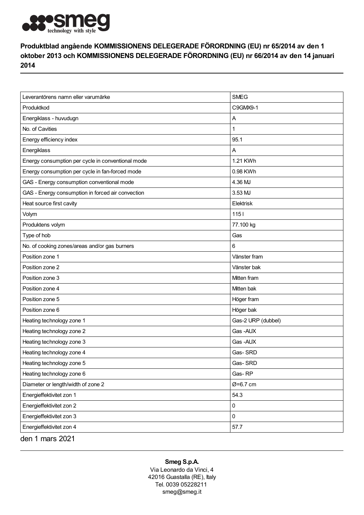

## Produktblad angående KOMMISSIONENS DELEGERADE FÖRORDNING (EU) nr 65/2014 av den 1 oktober 2013 och KOMMISSIONENS DELEGERADE FÖRORDNING (EU) nr 66/2014 av den 14 januari 2014

| Leverantörens namn eller varumärke                | <b>SMEG</b>        |
|---------------------------------------------------|--------------------|
| Produktkod                                        | C9GMX9-1           |
| Energiklass - huvudugn                            | Α                  |
| No. of Cavities                                   | 1                  |
| Energy efficiency index                           | 95.1               |
| Energiklass                                       | Α                  |
| Energy consumption per cycle in conventional mode | 1.21 KWh           |
| Energy consumption per cycle in fan-forced mode   | 0.98 KWh           |
| GAS - Energy consumption conventional mode        | 4.36 MJ            |
| GAS - Energy consumption in forced air convection | 3.53 MJ            |
| Heat source first cavity                          | Elektrisk          |
| Volym                                             | 1151               |
| Produktens volym                                  | 77.100 kg          |
| Type of hob                                       | Gas                |
| No. of cooking zones/areas and/or gas burners     | 6                  |
| Position zone 1                                   | Vänster fram       |
| Position zone 2                                   | Vänster bak        |
| Position zone 3                                   | Mitten fram        |
| Position zone 4                                   | Mitten bak         |
| Position zone 5                                   | Höger fram         |
| Position zone 6                                   | Höger bak          |
| Heating technology zone 1                         | Gas-2 URP (dubbel) |
| Heating technology zone 2                         | Gas-AUX            |
| Heating technology zone 3                         | Gas-AUX            |
| Heating technology zone 4                         | Gas-SRD            |
| Heating technology zone 5                         | Gas-SRD            |
| Heating technology zone 6                         | Gas-RP             |
| Diameter or length/width of zone 2                | $Ø = 6.7$ cm       |
| Energieffektivitet zon 1                          | 54.3               |
| Energieffektivitet zon 2                          | 0                  |
| Energieffektivitet zon 3                          | 0                  |
| Energieffektivitet zon 4                          | 57.7               |
| den 1 mars 2021                                   |                    |

## Smeg S.p.A.

Via Leonardo da Vinci, 4 42016 Guastalla (RE), Italy Tel. 0039 05228211 smeg@smeg.it